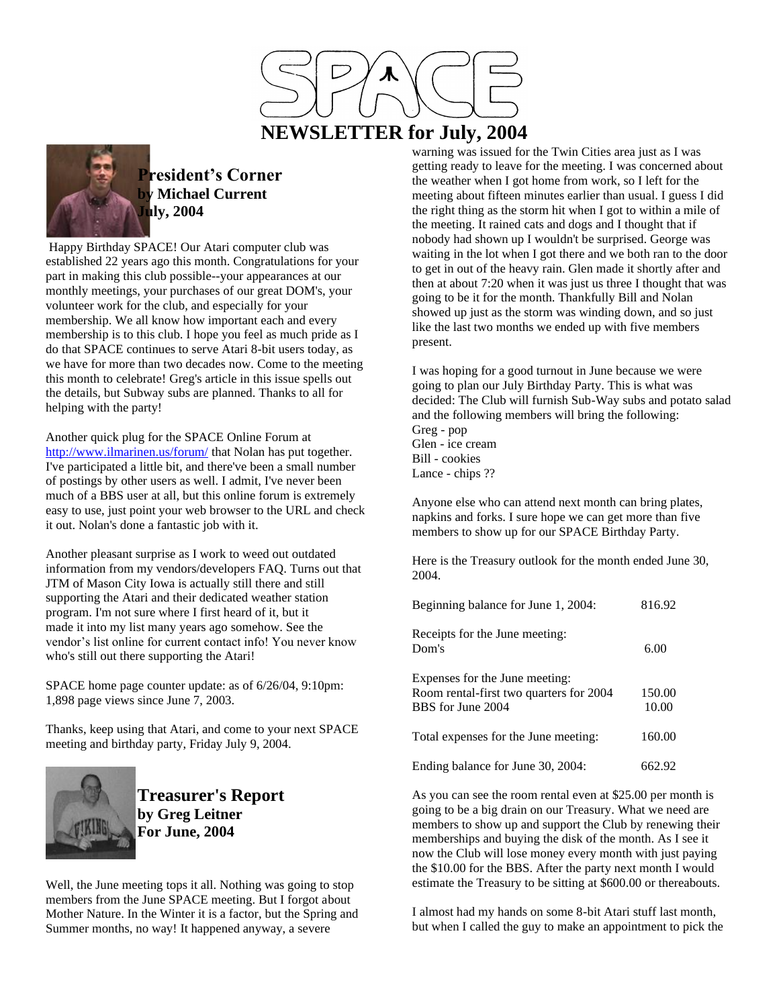

# **NEWSLETTER for July, 2004**



**President's Corner by Michael Current July, 2004**

Happy Birthday SPACE! Our Atari computer club was established 22 years ago this month. Congratulations for your part in making this club possible--your appearances at our monthly meetings, your purchases of our great DOM's, your volunteer work for the club, and especially for your membership. We all know how important each and every membership is to this club. I hope you feel as much pride as I do that SPACE continues to serve Atari 8-bit users today, as we have for more than two decades now. Come to the meeting this month to celebrate! Greg's article in this issue spells out the details, but Subway subs are planned. Thanks to all for helping with the party!

Another quick plug for the SPACE Online Forum at <http://www.ilmarinen.us/forum/> that Nolan has put together. I've participated a little bit, and there've been a small number of postings by other users as well. I admit, I've never been much of a BBS user at all, but this online forum is extremely easy to use, just point your web browser to the URL and check it out. Nolan's done a fantastic job with it.

Another pleasant surprise as I work to weed out outdated information from my vendors/developers FAQ. Turns out that JTM of Mason City Iowa is actually still there and still supporting the Atari and their dedicated weather station program. I'm not sure where I first heard of it, but it made it into my list many years ago somehow. See the vendor's list online for current contact info! You never know who's still out there supporting the Atari!

SPACE home page counter update: as of 6/26/04, 9:10pm: 1,898 page views since June 7, 2003.

Thanks, keep using that Atari, and come to your next SPACE meeting and birthday party, Friday July 9, 2004.



**Treasurer's Report by Greg Leitner For June, 2004**

Well, the June meeting tops it all. Nothing was going to stop members from the June SPACE meeting. But I forgot about Mother Nature. In the Winter it is a factor, but the Spring and Summer months, no way! It happened anyway, a severe

warning was issued for the Twin Cities area just as I was getting ready to leave for the meeting. I was concerned about the weather when I got home from work, so I left for the meeting about fifteen minutes earlier than usual. I guess I did the right thing as the storm hit when I got to within a mile of the meeting. It rained cats and dogs and I thought that if nobody had shown up I wouldn't be surprised. George was waiting in the lot when I got there and we both ran to the door to get in out of the heavy rain. Glen made it shortly after and then at about 7:20 when it was just us three I thought that was going to be it for the month. Thankfully Bill and Nolan showed up just as the storm was winding down, and so just like the last two months we ended up with five members present.

I was hoping for a good turnout in June because we were going to plan our July Birthday Party. This is what was decided: The Club will furnish Sub-Way subs and potato salad and the following members will bring the following:

Greg - pop Glen - ice cream Bill - cookies Lance - chips ??

Anyone else who can attend next month can bring plates, napkins and forks. I sure hope we can get more than five members to show up for our SPACE Birthday Party.

Here is the Treasury outlook for the month ended June 30, 2004.

| Beginning balance for June 1, 2004:                                                            | 816.92          |
|------------------------------------------------------------------------------------------------|-----------------|
| Receipts for the June meeting:<br>Dom's                                                        | 6.00            |
| Expenses for the June meeting:<br>Room rental-first two quarters for 2004<br>BBS for June 2004 | 150.00<br>10.00 |
| Total expenses for the June meeting:                                                           | 160.00          |
| Ending balance for June 30, 2004:                                                              | 662.92          |

As you can see the room rental even at \$25.00 per month is going to be a big drain on our Treasury. What we need are members to show up and support the Club by renewing their memberships and buying the disk of the month. As I see it now the Club will lose money every month with just paying the \$10.00 for the BBS. After the party next month I would estimate the Treasury to be sitting at \$600.00 or thereabouts.

I almost had my hands on some 8-bit Atari stuff last month, but when I called the guy to make an appointment to pick the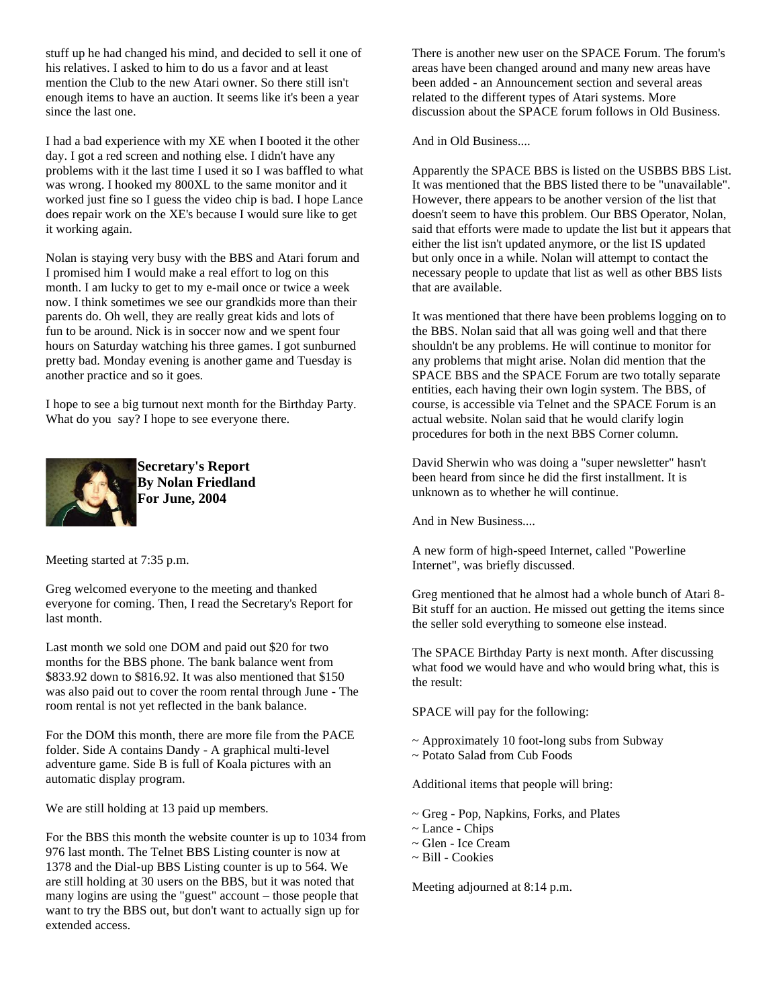stuff up he had changed his mind, and decided to sell it one of his relatives. I asked to him to do us a favor and at least mention the Club to the new Atari owner. So there still isn't enough items to have an auction. It seems like it's been a year since the last one.

I had a bad experience with my XE when I booted it the other day. I got a red screen and nothing else. I didn't have any problems with it the last time I used it so I was baffled to what was wrong. I hooked my 800XL to the same monitor and it worked just fine so I guess the video chip is bad. I hope Lance does repair work on the XE's because I would sure like to get it working again.

Nolan is staying very busy with the BBS and Atari forum and I promised him I would make a real effort to log on this month. I am lucky to get to my e-mail once or twice a week now. I think sometimes we see our grandkids more than their parents do. Oh well, they are really great kids and lots of fun to be around. Nick is in soccer now and we spent four hours on Saturday watching his three games. I got sunburned pretty bad. Monday evening is another game and Tuesday is another practice and so it goes.

I hope to see a big turnout next month for the Birthday Party. What do you say? I hope to see everyone there.



**Secretary's Report By Nolan Friedland For June, 2004**

Meeting started at 7:35 p.m.

Greg welcomed everyone to the meeting and thanked everyone for coming. Then, I read the Secretary's Report for last month.

Last month we sold one DOM and paid out \$20 for two months for the BBS phone. The bank balance went from \$833.92 down to \$816.92. It was also mentioned that \$150 was also paid out to cover the room rental through June - The room rental is not yet reflected in the bank balance.

For the DOM this month, there are more file from the PACE folder. Side A contains Dandy - A graphical multi-level adventure game. Side B is full of Koala pictures with an automatic display program.

We are still holding at 13 paid up members.

For the BBS this month the website counter is up to 1034 from 976 last month. The Telnet BBS Listing counter is now at 1378 and the Dial-up BBS Listing counter is up to 564. We are still holding at 30 users on the BBS, but it was noted that many logins are using the "guest" account – those people that want to try the BBS out, but don't want to actually sign up for extended access.

There is another new user on the SPACE Forum. The forum's areas have been changed around and many new areas have been added - an Announcement section and several areas related to the different types of Atari systems. More discussion about the SPACE forum follows in Old Business.

And in Old Business....

Apparently the SPACE BBS is listed on the USBBS BBS List. It was mentioned that the BBS listed there to be "unavailable". However, there appears to be another version of the list that doesn't seem to have this problem. Our BBS Operator, Nolan, said that efforts were made to update the list but it appears that either the list isn't updated anymore, or the list IS updated but only once in a while. Nolan will attempt to contact the necessary people to update that list as well as other BBS lists that are available.

It was mentioned that there have been problems logging on to the BBS. Nolan said that all was going well and that there shouldn't be any problems. He will continue to monitor for any problems that might arise. Nolan did mention that the SPACE BBS and the SPACE Forum are two totally separate entities, each having their own login system. The BBS, of course, is accessible via Telnet and the SPACE Forum is an actual website. Nolan said that he would clarify login procedures for both in the next BBS Corner column.

David Sherwin who was doing a "super newsletter" hasn't been heard from since he did the first installment. It is unknown as to whether he will continue.

And in New Business....

A new form of high-speed Internet, called "Powerline Internet", was briefly discussed.

Greg mentioned that he almost had a whole bunch of Atari 8- Bit stuff for an auction. He missed out getting the items since the seller sold everything to someone else instead.

The SPACE Birthday Party is next month. After discussing what food we would have and who would bring what, this is the result:

SPACE will pay for the following:

- ~ Approximately 10 foot-long subs from Subway
- ~ Potato Salad from Cub Foods

Additional items that people will bring:

- ~ Greg Pop, Napkins, Forks, and Plates
- ~ Lance Chips
- ~ Glen Ice Cream
- ~ Bill Cookies

Meeting adjourned at 8:14 p.m.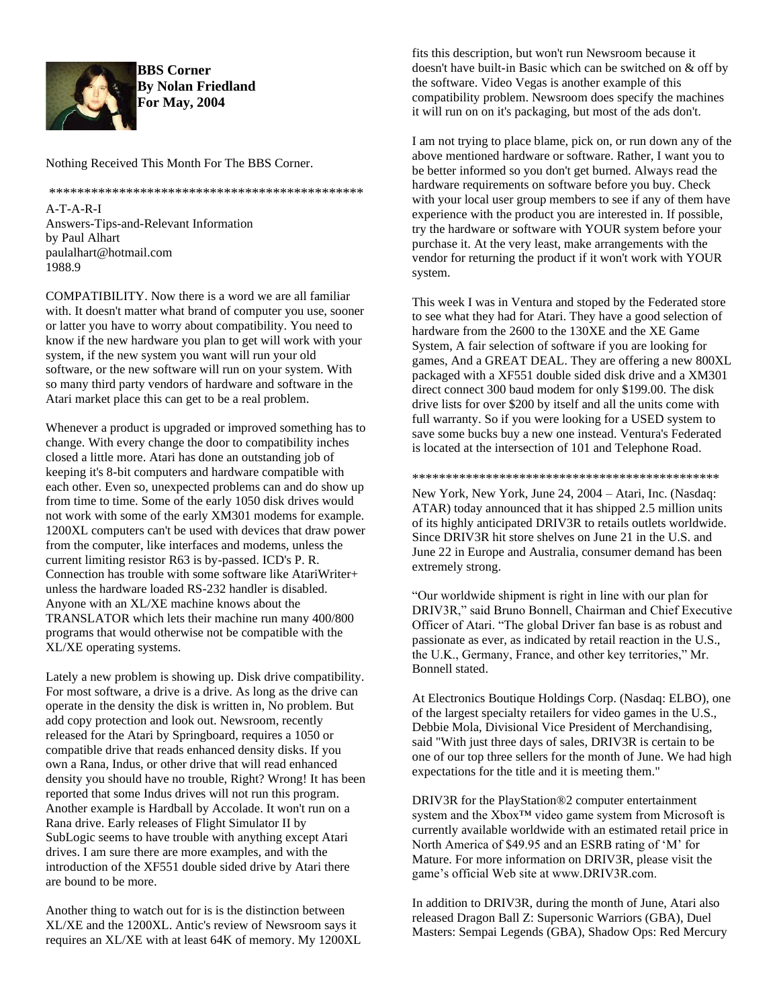

1988.9

**BBS Corner By Nolan Friedland For May, 2004**

Nothing Received This Month For The BBS Corner.

\*\*\*\*\*\*\*\*\*\*\*\*\*\*\*\*\*\*\*\*\*\*\*\*\*\*\*\*\*\*\*\*\*\*\*\*\*\*\*\*\*\*\*\*\* A-T-A-R-I Answers-Tips-and-Relevant Information by Paul Alhart paulalhart@hotmail.com

COMPATIBILITY. Now there is a word we are all familiar with. It doesn't matter what brand of computer you use, sooner or latter you have to worry about compatibility. You need to know if the new hardware you plan to get will work with your system, if the new system you want will run your old software, or the new software will run on your system. With so many third party vendors of hardware and software in the Atari market place this can get to be a real problem.

Whenever a product is upgraded or improved something has to change. With every change the door to compatibility inches closed a little more. Atari has done an outstanding job of keeping it's 8-bit computers and hardware compatible with each other. Even so, unexpected problems can and do show up from time to time. Some of the early 1050 disk drives would not work with some of the early XM301 modems for example. 1200XL computers can't be used with devices that draw power from the computer, like interfaces and modems, unless the current limiting resistor R63 is by-passed. ICD's P. R. Connection has trouble with some software like AtariWriter+ unless the hardware loaded RS-232 handler is disabled. Anyone with an XL/XE machine knows about the TRANSLATOR which lets their machine run many 400/800 programs that would otherwise not be compatible with the XL/XE operating systems.

Lately a new problem is showing up. Disk drive compatibility. For most software, a drive is a drive. As long as the drive can operate in the density the disk is written in, No problem. But add copy protection and look out. Newsroom, recently released for the Atari by Springboard, requires a 1050 or compatible drive that reads enhanced density disks. If you own a Rana, Indus, or other drive that will read enhanced density you should have no trouble, Right? Wrong! It has been reported that some Indus drives will not run this program. Another example is Hardball by Accolade. It won't run on a Rana drive. Early releases of Flight Simulator II by SubLogic seems to have trouble with anything except Atari drives. I am sure there are more examples, and with the introduction of the XF551 double sided drive by Atari there are bound to be more.

Another thing to watch out for is is the distinction between XL/XE and the 1200XL. Antic's review of Newsroom says it requires an XL/XE with at least 64K of memory. My 1200XL fits this description, but won't run Newsroom because it doesn't have built-in Basic which can be switched on & off by the software. Video Vegas is another example of this compatibility problem. Newsroom does specify the machines it will run on on it's packaging, but most of the ads don't.

I am not trying to place blame, pick on, or run down any of the above mentioned hardware or software. Rather, I want you to be better informed so you don't get burned. Always read the hardware requirements on software before you buy. Check with your local user group members to see if any of them have experience with the product you are interested in. If possible, try the hardware or software with YOUR system before your purchase it. At the very least, make arrangements with the vendor for returning the product if it won't work with YOUR system.

This week I was in Ventura and stoped by the Federated store to see what they had for Atari. They have a good selection of hardware from the 2600 to the 130XE and the XE Game System, A fair selection of software if you are looking for games, And a GREAT DEAL. They are offering a new 800XL packaged with a XF551 double sided disk drive and a XM301 direct connect 300 baud modem for only \$199.00. The disk drive lists for over \$200 by itself and all the units come with full warranty. So if you were looking for a USED system to save some bucks buy a new one instead. Ventura's Federated is located at the intersection of 101 and Telephone Road.

\*\*\*\*\*\*\*\*\*\*\*\*\*\*\*\*\*\*\*\*\*\*\*\*\*\*\*\*\*\*\*\*\*\*\*\*\*\*\*\*\*\*\*\*\*\*

New York, New York, June 24, 2004 – Atari, Inc. (Nasdaq: ATAR) today announced that it has shipped 2.5 million units of its highly anticipated DRIV3R to retails outlets worldwide. Since DRIV3R hit store shelves on June 21 in the U.S. and June 22 in Europe and Australia, consumer demand has been extremely strong.

"Our worldwide shipment is right in line with our plan for DRIV3R," said Bruno Bonnell, Chairman and Chief Executive Officer of Atari. "The global Driver fan base is as robust and passionate as ever, as indicated by retail reaction in the U.S., the U.K., Germany, France, and other key territories," Mr. Bonnell stated.

At Electronics Boutique Holdings Corp. (Nasdaq: ELBO), one of the largest specialty retailers for video games in the U.S., Debbie Mola, Divisional Vice President of Merchandising, said "With just three days of sales, DRIV3R is certain to be one of our top three sellers for the month of June. We had high expectations for the title and it is meeting them."

DRIV3R for the PlayStation®2 computer entertainment system and the Xbox<sup>™</sup> video game system from Microsoft is currently available worldwide with an estimated retail price in North America of \$49.95 and an ESRB rating of 'M' for Mature. For more information on DRIV3R, please visit the game's official Web site at www.DRIV3R.com.

In addition to DRIV3R, during the month of June, Atari also released Dragon Ball Z: Supersonic Warriors (GBA), Duel Masters: Sempai Legends (GBA), Shadow Ops: Red Mercury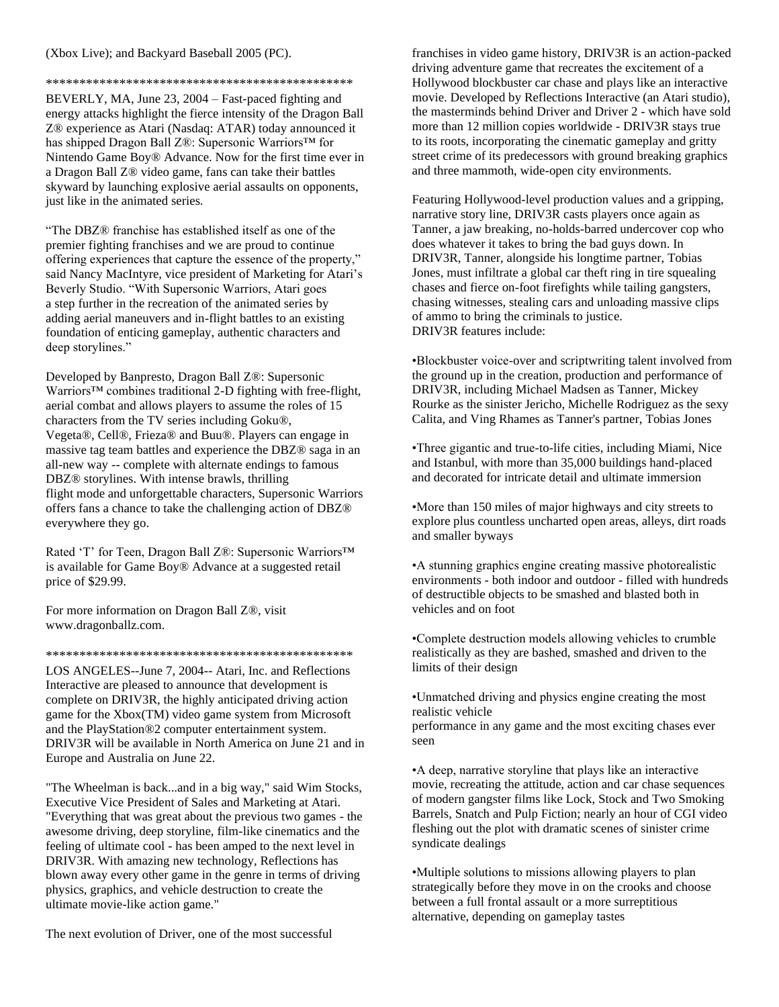(Xbox Live); and Backyard Baseball 2005 (PC).

\*\*\*\*\*\*\*\*\*\*\*\*\*\*\*\*\*\*\*\*\*\*\*\*\*\*\*\*\*\*\*\*\*\*\*\*\*\*\*\*\*\*\*\*\*\*

BEVERLY, MA, June 23, 2004 – Fast-paced fighting and energy attacks highlight the fierce intensity of the Dragon Ball Z® experience as Atari (Nasdaq: ATAR) today announced it has shipped Dragon Ball Z®: Supersonic Warriors™ for Nintendo Game Boy® Advance. Now for the first time ever in a Dragon Ball Z® video game, fans can take their battles skyward by launching explosive aerial assaults on opponents, just like in the animated series.

"The DBZ® franchise has established itself as one of the premier fighting franchises and we are proud to continue offering experiences that capture the essence of the property," said Nancy MacIntyre, vice president of Marketing for Atari's Beverly Studio. "With Supersonic Warriors, Atari goes a step further in the recreation of the animated series by adding aerial maneuvers and in-flight battles to an existing foundation of enticing gameplay, authentic characters and deep storylines."

Developed by Banpresto, Dragon Ball Z®: Supersonic Warriors™ combines traditional 2-D fighting with free-flight, aerial combat and allows players to assume the roles of 15 characters from the TV series including Goku®, Vegeta®, Cell®, Frieza® and Buu®. Players can engage in massive tag team battles and experience the DBZ® saga in an all-new way -- complete with alternate endings to famous DBZ® storylines. With intense brawls, thrilling flight mode and unforgettable characters, Supersonic Warriors offers fans a chance to take the challenging action of DBZ® everywhere they go.

Rated 'T' for Teen, Dragon Ball Z®: Supersonic Warriors™ is available for Game Boy® Advance at a suggested retail price of \$29.99.

For more information on Dragon Ball Z®, visit www.dragonballz.com.

\*\*\*\*\*\*\*\*\*\*\*\*\*\*\*\*\*\*\*\*\*\*\*\*\*\*\*\*\*\*\*\*\*\*\*\*\*\*\*\*\*\*\*\*\*\*

LOS ANGELES--June 7, 2004-- Atari, Inc. and Reflections Interactive are pleased to announce that development is complete on DRIV3R, the highly anticipated driving action game for the Xbox(TM) video game system from Microsoft and the PlayStation®2 computer entertainment system. DRIV3R will be available in North America on June 21 and in Europe and Australia on June 22.

"The Wheelman is back...and in a big way," said Wim Stocks, Executive Vice President of Sales and Marketing at Atari. "Everything that was great about the previous two games - the awesome driving, deep storyline, film-like cinematics and the feeling of ultimate cool - has been amped to the next level in DRIV3R. With amazing new technology, Reflections has blown away every other game in the genre in terms of driving physics, graphics, and vehicle destruction to create the ultimate movie-like action game."

The next evolution of Driver, one of the most successful

franchises in video game history, DRIV3R is an action-packed driving adventure game that recreates the excitement of a Hollywood blockbuster car chase and plays like an interactive movie. Developed by Reflections Interactive (an Atari studio), the masterminds behind Driver and Driver 2 - which have sold more than 12 million copies worldwide - DRIV3R stays true to its roots, incorporating the cinematic gameplay and gritty street crime of its predecessors with ground breaking graphics and three mammoth, wide-open city environments.

Featuring Hollywood-level production values and a gripping, narrative story line, DRIV3R casts players once again as Tanner, a jaw breaking, no-holds-barred undercover cop who does whatever it takes to bring the bad guys down. In DRIV3R, Tanner, alongside his longtime partner, Tobias Jones, must infiltrate a global car theft ring in tire squealing chases and fierce on-foot firefights while tailing gangsters, chasing witnesses, stealing cars and unloading massive clips of ammo to bring the criminals to justice. DRIV3R features include:

•Blockbuster voice-over and scriptwriting talent involved from the ground up in the creation, production and performance of DRIV3R, including Michael Madsen as Tanner, Mickey Rourke as the sinister Jericho, Michelle Rodriguez as the sexy Calita, and Ving Rhames as Tanner's partner, Tobias Jones

•Three gigantic and true-to-life cities, including Miami, Nice and Istanbul, with more than 35,000 buildings hand-placed and decorated for intricate detail and ultimate immersion

•More than 150 miles of major highways and city streets to explore plus countless uncharted open areas, alleys, dirt roads and smaller byways

•A stunning graphics engine creating massive photorealistic environments - both indoor and outdoor - filled with hundreds of destructible objects to be smashed and blasted both in vehicles and on foot

•Complete destruction models allowing vehicles to crumble realistically as they are bashed, smashed and driven to the limits of their design

•Unmatched driving and physics engine creating the most realistic vehicle

performance in any game and the most exciting chases ever seen

•A deep, narrative storyline that plays like an interactive movie, recreating the attitude, action and car chase sequences of modern gangster films like Lock, Stock and Two Smoking Barrels, Snatch and Pulp Fiction; nearly an hour of CGI video fleshing out the plot with dramatic scenes of sinister crime syndicate dealings

•Multiple solutions to missions allowing players to plan strategically before they move in on the crooks and choose between a full frontal assault or a more surreptitious alternative, depending on gameplay tastes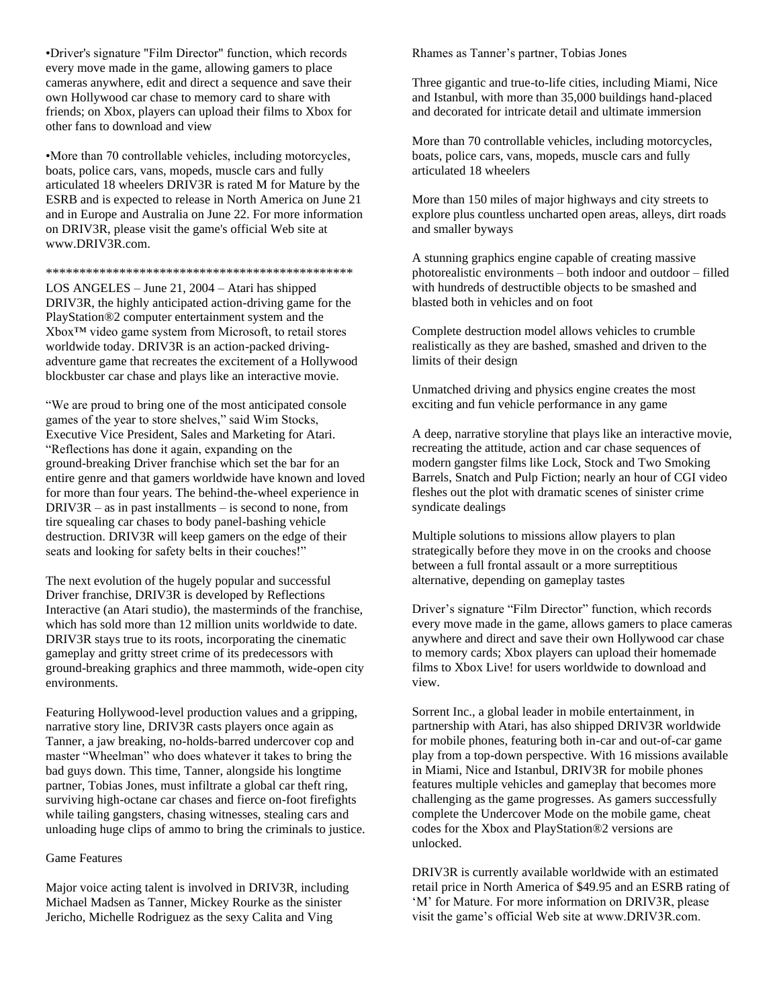•Driver's signature "Film Director" function, which records every move made in the game, allowing gamers to place cameras anywhere, edit and direct a sequence and save their own Hollywood car chase to memory card to share with friends; on Xbox, players can upload their films to Xbox for other fans to download and view

•More than 70 controllable vehicles, including motorcycles, boats, police cars, vans, mopeds, muscle cars and fully articulated 18 wheelers DRIV3R is rated M for Mature by the ESRB and is expected to release in North America on June 21 and in Europe and Australia on June 22. For more information on DRIV3R, please visit the game's official Web site at www.DRIV3R.com.

#### \*\*\*\*\*\*\*\*\*\*\*\*\*\*\*\*\*\*\*\*\*\*\*\*\*\*\*\*\*\*\*\*\*\*\*\*\*\*\*\*\*\*\*\*\*\*

LOS ANGELES – June 21, 2004 – Atari has shipped DRIV3R, the highly anticipated action-driving game for the PlayStation®2 computer entertainment system and the Xbox™ video game system from Microsoft, to retail stores worldwide today. DRIV3R is an action-packed drivingadventure game that recreates the excitement of a Hollywood blockbuster car chase and plays like an interactive movie.

"We are proud to bring one of the most anticipated console games of the year to store shelves," said Wim Stocks, Executive Vice President, Sales and Marketing for Atari. "Reflections has done it again, expanding on the ground-breaking Driver franchise which set the bar for an entire genre and that gamers worldwide have known and loved for more than four years. The behind-the-wheel experience in DRIV3R – as in past installments – is second to none, from tire squealing car chases to body panel-bashing vehicle destruction. DRIV3R will keep gamers on the edge of their seats and looking for safety belts in their couches!"

The next evolution of the hugely popular and successful Driver franchise, DRIV3R is developed by Reflections Interactive (an Atari studio), the masterminds of the franchise, which has sold more than 12 million units worldwide to date. DRIV3R stays true to its roots, incorporating the cinematic gameplay and gritty street crime of its predecessors with ground-breaking graphics and three mammoth, wide-open city environments.

Featuring Hollywood-level production values and a gripping, narrative story line, DRIV3R casts players once again as Tanner, a jaw breaking, no-holds-barred undercover cop and master "Wheelman" who does whatever it takes to bring the bad guys down. This time, Tanner, alongside his longtime partner, Tobias Jones, must infiltrate a global car theft ring, surviving high-octane car chases and fierce on-foot firefights while tailing gangsters, chasing witnesses, stealing cars and unloading huge clips of ammo to bring the criminals to justice.

## Game Features

Major voice acting talent is involved in DRIV3R, including Michael Madsen as Tanner, Mickey Rourke as the sinister Jericho, Michelle Rodriguez as the sexy Calita and Ving

Rhames as Tanner's partner, Tobias Jones

Three gigantic and true-to-life cities, including Miami, Nice and Istanbul, with more than 35,000 buildings hand-placed and decorated for intricate detail and ultimate immersion

More than 70 controllable vehicles, including motorcycles, boats, police cars, vans, mopeds, muscle cars and fully articulated 18 wheelers

More than 150 miles of major highways and city streets to explore plus countless uncharted open areas, alleys, dirt roads and smaller byways

A stunning graphics engine capable of creating massive photorealistic environments – both indoor and outdoor – filled with hundreds of destructible objects to be smashed and blasted both in vehicles and on foot

Complete destruction model allows vehicles to crumble realistically as they are bashed, smashed and driven to the limits of their design

Unmatched driving and physics engine creates the most exciting and fun vehicle performance in any game

A deep, narrative storyline that plays like an interactive movie, recreating the attitude, action and car chase sequences of modern gangster films like Lock, Stock and Two Smoking Barrels, Snatch and Pulp Fiction; nearly an hour of CGI video fleshes out the plot with dramatic scenes of sinister crime syndicate dealings

Multiple solutions to missions allow players to plan strategically before they move in on the crooks and choose between a full frontal assault or a more surreptitious alternative, depending on gameplay tastes

Driver's signature "Film Director" function, which records every move made in the game, allows gamers to place cameras anywhere and direct and save their own Hollywood car chase to memory cards; Xbox players can upload their homemade films to Xbox Live! for users worldwide to download and view.

Sorrent Inc., a global leader in mobile entertainment, in partnership with Atari, has also shipped DRIV3R worldwide for mobile phones, featuring both in-car and out-of-car game play from a top-down perspective. With 16 missions available in Miami, Nice and Istanbul, DRIV3R for mobile phones features multiple vehicles and gameplay that becomes more challenging as the game progresses. As gamers successfully complete the Undercover Mode on the mobile game, cheat codes for the Xbox and PlayStation®2 versions are unlocked.

DRIV3R is currently available worldwide with an estimated retail price in North America of \$49.95 and an ESRB rating of 'M' for Mature. For more information on DRIV3R, please visit the game's official Web site at www.DRIV3R.com.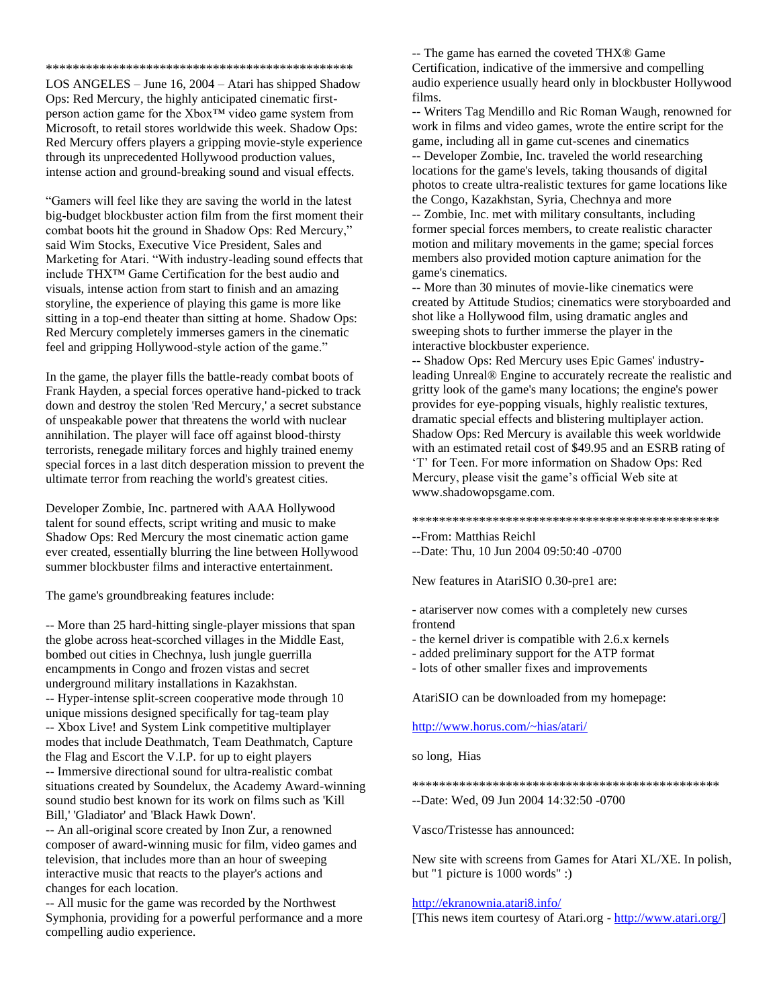LOS ANGELES – June 16, 2004 – Atari has shipped Shadow Ops: Red Mercury, the highly anticipated cinematic firstperson action game for the Xbox™ video game system from Microsoft, to retail stores worldwide this week. Shadow Ops: Red Mercury offers players a gripping movie-style experience through its unprecedented Hollywood production values, intense action and ground-breaking sound and visual effects.

\*\*\*\*\*\*\*\*\*\*\*\*\*\*\*\*\*\*\*\*\*\*\*\*\*\*\*\*\*\*\*\*\*\*\*\*\*\*\*\*\*\*\*\*\*\*

"Gamers will feel like they are saving the world in the latest big-budget blockbuster action film from the first moment their combat boots hit the ground in Shadow Ops: Red Mercury," said Wim Stocks, Executive Vice President, Sales and Marketing for Atari. "With industry-leading sound effects that include THX™ Game Certification for the best audio and visuals, intense action from start to finish and an amazing storyline, the experience of playing this game is more like sitting in a top-end theater than sitting at home. Shadow Ops: Red Mercury completely immerses gamers in the cinematic feel and gripping Hollywood-style action of the game."

In the game, the player fills the battle-ready combat boots of Frank Hayden, a special forces operative hand-picked to track down and destroy the stolen 'Red Mercury,' a secret substance of unspeakable power that threatens the world with nuclear annihilation. The player will face off against blood-thirsty terrorists, renegade military forces and highly trained enemy special forces in a last ditch desperation mission to prevent the ultimate terror from reaching the world's greatest cities.

Developer Zombie, Inc. partnered with AAA Hollywood talent for sound effects, script writing and music to make Shadow Ops: Red Mercury the most cinematic action game ever created, essentially blurring the line between Hollywood summer blockbuster films and interactive entertainment.

The game's groundbreaking features include:

-- More than 25 hard-hitting single-player missions that span the globe across heat-scorched villages in the Middle East, bombed out cities in Chechnya, lush jungle guerrilla encampments in Congo and frozen vistas and secret underground military installations in Kazakhstan. -- Hyper-intense split-screen cooperative mode through 10 unique missions designed specifically for tag-team play -- Xbox Live! and System Link competitive multiplayer modes that include Deathmatch, Team Deathmatch, Capture the Flag and Escort the V.I.P. for up to eight players -- Immersive directional sound for ultra-realistic combat situations created by Soundelux, the Academy Award-winning sound studio best known for its work on films such as 'Kill Bill,' 'Gladiator' and 'Black Hawk Down'.

-- An all-original score created by Inon Zur, a renowned composer of award-winning music for film, video games and television, that includes more than an hour of sweeping interactive music that reacts to the player's actions and changes for each location.

-- All music for the game was recorded by the Northwest Symphonia, providing for a powerful performance and a more compelling audio experience.

-- The game has earned the coveted THX® Game Certification, indicative of the immersive and compelling audio experience usually heard only in blockbuster Hollywood films.

-- Writers Tag Mendillo and Ric Roman Waugh, renowned for work in films and video games, wrote the entire script for the game, including all in game cut-scenes and cinematics -- Developer Zombie, Inc. traveled the world researching locations for the game's levels, taking thousands of digital photos to create ultra-realistic textures for game locations like the Congo, Kazakhstan, Syria, Chechnya and more -- Zombie, Inc. met with military consultants, including former special forces members, to create realistic character motion and military movements in the game; special forces members also provided motion capture animation for the game's cinematics.

-- More than 30 minutes of movie-like cinematics were created by Attitude Studios; cinematics were storyboarded and shot like a Hollywood film, using dramatic angles and sweeping shots to further immerse the player in the interactive blockbuster experience.

-- Shadow Ops: Red Mercury uses Epic Games' industryleading Unreal® Engine to accurately recreate the realistic and gritty look of the game's many locations; the engine's power provides for eye-popping visuals, highly realistic textures, dramatic special effects and blistering multiplayer action. Shadow Ops: Red Mercury is available this week worldwide with an estimated retail cost of \$49.95 and an ESRB rating of 'T' for Teen. For more information on Shadow Ops: Red Mercury, please visit the game's official Web site at www.shadowopsgame.com.

## \*\*\*\*\*\*\*\*\*\*\*\*\*\*\*\*\*\*\*\*\*\*\*\*\*\*\*\*\*\*\*\*\*\*\*\*\*\*\*\*\*\*\*\*\*\*

--From: Matthias Reichl

--Date: Thu, 10 Jun 2004 09:50:40 -0700

New features in AtariSIO 0.30-pre1 are:

- atariserver now comes with a completely new curses frontend

- the kernel driver is compatible with 2.6.x kernels

- added preliminary support for the ATP format

- lots of other smaller fixes and improvements

AtariSIO can be downloaded from my homepage:

# <http://www.horus.com/~hias/atari/>

so long, Hias

\*\*\*\*\*\*\*\*\*\*\*\*\*\*\*\*\*\*\*\*\*\*\*\*\*\*\*\*\*\*\*\*\*\*\*\*\*\*\*\*\*\*\*\*\*\*

--Date: Wed, 09 Jun 2004 14:32:50 -0700

Vasco/Tristesse has announced:

New site with screens from Games for Atari XL/XE. In polish, but "1 picture is 1000 words" :)

## <http://ekranownia.atari8.info/>

[This news item courtesy of Atari.org - [http://www.atari.org/\]](http://www.atari.org/)